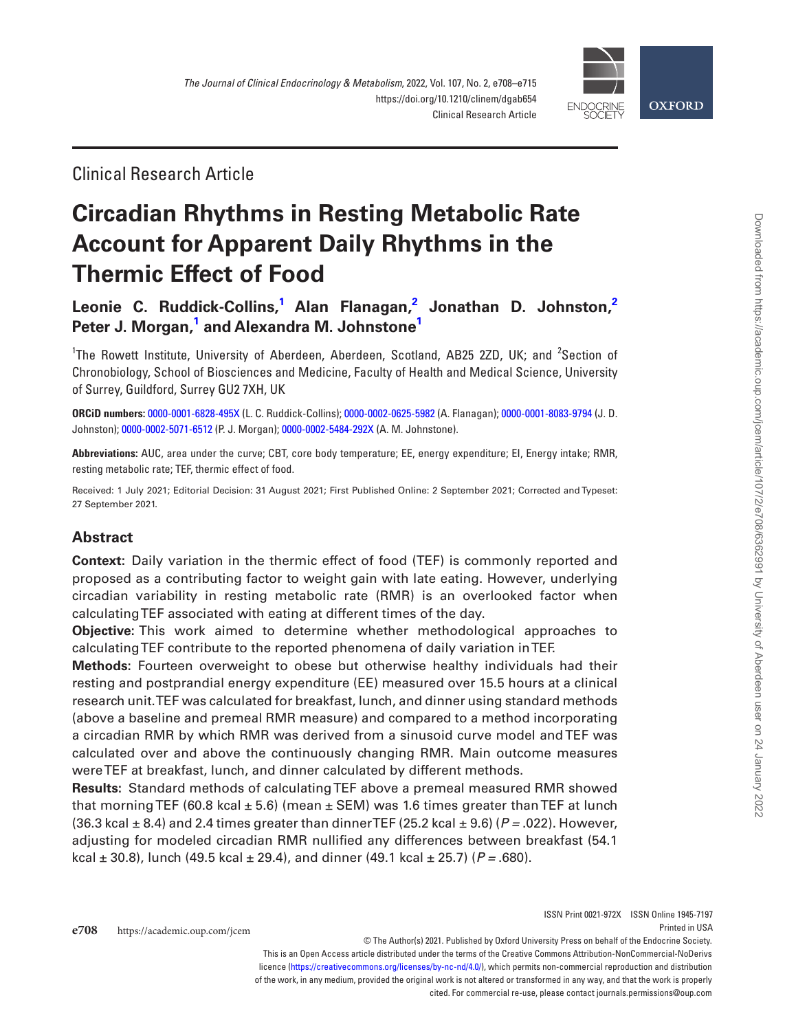

Clinical Research Article

# **Circadian Rhythms in Resting Metabolic Rate Account for Apparent Daily Rhythms in the Thermic Effect of Food**

**[Leonie C. Ruddick-Collins](https://orcid.org/0000-0001-6828-495X),[1](#page-0-0) [Alan Flanagan](https://orcid.org/0000-0002-0625-5982),[2](#page-0-1) [Jonathan D. Johnston](https://orcid.org/0000-0001-8083-9794)[,2](#page-0-1) [Peter J. Morgan](https://orcid.org/0000-0002-5071-6512),[1](#page-0-0) and [Alexandra M. Johnstone](https://orcid.org/0000-0002-5484-292X)[1](#page-0-0)**

<span id="page-0-1"></span><span id="page-0-0"></span><sup>1</sup>The Rowett Institute, University of Aberdeen, Aberdeen, Scotland, AB25 2ZD, UK; and <sup>2</sup>Section of Chronobiology, School of Biosciences and Medicine, Faculty of Health and Medical Science, University of Surrey, Guildford, Surrey GU2 7XH, UK

**ORCiD numbers:** [0000-0001-6828-495X](https://orcid.org/0000-0001-6828-495X) (L. C. Ruddick-Collins); [0000-0002-0625-5982](https://orcid.org/0000-0002-0625-5982) (A. Flanagan); [0000-0001-8083-9794](https://orcid.org/0000-0001-8083-9794) (J. D. Johnston); [0000-0002-5071-6512](https://orcid.org/0000-0002-5071-6512) (P. J. Morgan); [0000-0002-5484-292X](https://orcid.org/0000-0002-5484-292X) (A. M. Johnstone).

**Abbreviations:** AUC, area under the curve; CBT, core body temperature; EE, energy expenditure; EI, Energy intake; RMR, resting metabolic rate; TEF, thermic effect of food.

Received: 1 July 2021; Editorial Decision: 31 August 2021; First Published Online: 2 September 2021; Corrected and Typeset: 27 September 2021.

# **Abstract**

**Context:** Daily variation in the thermic effect of food (TEF) is commonly reported and proposed as a contributing factor to weight gain with late eating. However, underlying circadian variability in resting metabolic rate (RMR) is an overlooked factor when calculating TEF associated with eating at different times of the day.

**Objective:** This work aimed to determine whether methodological approaches to calculating TEF contribute to the reported phenomena of daily variation in TEF.

**Methods:** Fourteen overweight to obese but otherwise healthy individuals had their resting and postprandial energy expenditure (EE) measured over 15.5 hours at a clinical research unit. TEF was calculated for breakfast, lunch, and dinner using standard methods (above a baseline and premeal RMR measure) and compared to a method incorporating a circadian RMR by which RMR was derived from a sinusoid curve model and TEF was calculated over and above the continuously changing RMR. Main outcome measures were TEF at breakfast, lunch, and dinner calculated by different methods.

**Results:** Standard methods of calculating TEF above a premeal measured RMR showed that morning TEF (60.8 kcal  $\pm$  5.6) (mean  $\pm$  SEM) was 1.6 times greater than TEF at lunch (36.3 kcal ± 8.4) and 2.4 times greater than dinner TEF (25.2 kcal ± 9.6) (*P =* .022). However, adjusting for modeled circadian RMR nullified any differences between breakfast (54.1 kcal ± 30.8), lunch (49.5 kcal ± 29.4), and dinner (49.1 kcal ± 25.7) (*P =* .680).

cited. For commercial re-use, please contact journals.permissions@oup.com

**e708** https://academic.oup.com/jcem © The Author(s) 2021. Published by Oxford University Press on behalf of the Endocrine Society. This is an Open Access article distributed under the terms of the Creative Commons Attribution-NonCommercial-NoDerivs licence (<https://creativecommons.org/licenses/by-nc-nd/4.0/>), which permits non-commercial reproduction and distribution of the work, in any medium, provided the original work is not altered or transformed in any way, and that the work is properly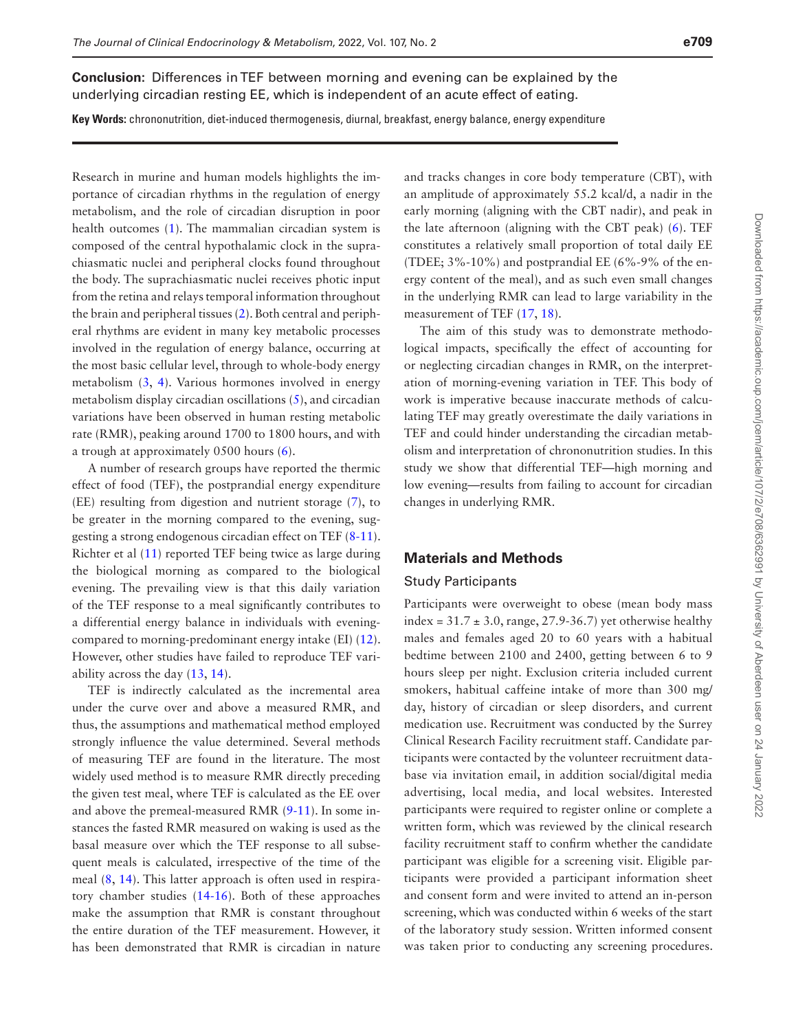**Conclusion:** Differences in TEF between morning and evening can be explained by the underlying circadian resting EE, which is independent of an acute effect of eating.

**Key Words:** chrononutrition, diet-induced thermogenesis, diurnal, breakfast, energy balance, energy expenditure

Research in murine and human models highlights the importance of circadian rhythms in the regulation of energy metabolism, and the role of circadian disruption in poor health outcomes ([1](#page-7-0)). The mammalian circadian system is composed of the central hypothalamic clock in the suprachiasmatic nuclei and peripheral clocks found throughout the body. The suprachiasmatic nuclei receives photic input from the retina and relays temporal information throughout the brain and peripheral tissues [\(2](#page-7-1)). Both central and peripheral rhythms are evident in many key metabolic processes involved in the regulation of energy balance, occurring at the most basic cellular level, through to whole-body energy metabolism [\(3](#page-7-2), [4\)](#page-7-3). Various hormones involved in energy metabolism display circadian oscillations [\(5](#page-7-4)), and circadian variations have been observed in human resting metabolic rate (RMR), peaking around 1700 to 1800 hours, and with a trough at approximately 0500 hours [\(6\)](#page-7-5).

A number of research groups have reported the thermic effect of food (TEF), the postprandial energy expenditure (EE) resulting from digestion and nutrient storage [\(7](#page-7-6)), to be greater in the morning compared to the evening, suggesting a strong endogenous circadian effect on TEF ([8](#page-7-7)[-11](#page-7-8)). Richter et al [\(11\)](#page-7-8) reported TEF being twice as large during the biological morning as compared to the biological evening. The prevailing view is that this daily variation of the TEF response to a meal significantly contributes to a differential energy balance in individuals with eveningcompared to morning-predominant energy intake (EI) [\(12](#page-7-9)). However, other studies have failed to reproduce TEF variability across the day ([13,](#page-7-10) [14\)](#page-7-11).

TEF is indirectly calculated as the incremental area under the curve over and above a measured RMR, and thus, the assumptions and mathematical method employed strongly influence the value determined. Several methods of measuring TEF are found in the literature. The most widely used method is to measure RMR directly preceding the given test meal, where TEF is calculated as the EE over and above the premeal-measured RMR  $(9-11)$  $(9-11)$  $(9-11)$ . In some instances the fasted RMR measured on waking is used as the basal measure over which the TEF response to all subsequent meals is calculated, irrespective of the time of the meal ([8,](#page-7-7) [14](#page-7-11)). This latter approach is often used in respiratory chamber studies [\(14-](#page-7-11)[16\)](#page-7-13). Both of these approaches make the assumption that RMR is constant throughout the entire duration of the TEF measurement. However, it has been demonstrated that RMR is circadian in nature

and tracks changes in core body temperature (CBT), with an amplitude of approximately 55.2 kcal/d, a nadir in the early morning (aligning with the CBT nadir), and peak in the late afternoon (aligning with the CBT peak) ([6](#page-7-5)). TEF constitutes a relatively small proportion of total daily EE (TDEE; 3%-10%) and postprandial EE (6%-9% of the energy content of the meal), and as such even small changes in the underlying RMR can lead to large variability in the measurement of TEF [\(17](#page-7-14), [18\)](#page-7-15).

The aim of this study was to demonstrate methodological impacts, specifically the effect of accounting for or neglecting circadian changes in RMR, on the interpretation of morning-evening variation in TEF. This body of work is imperative because inaccurate methods of calculating TEF may greatly overestimate the daily variations in TEF and could hinder understanding the circadian metabolism and interpretation of chrononutrition studies. In this study we show that differential TEF—high morning and low evening—results from failing to account for circadian changes in underlying RMR.

# **Materials and Methods**

#### Study Participants

Participants were overweight to obese (mean body mass index =  $31.7 \pm 3.0$ , range, 27.9-36.7) yet otherwise healthy males and females aged 20 to 60 years with a habitual bedtime between 2100 and 2400, getting between 6 to 9 hours sleep per night. Exclusion criteria included current smokers, habitual caffeine intake of more than 300 mg/ day, history of circadian or sleep disorders, and current medication use. Recruitment was conducted by the Surrey Clinical Research Facility recruitment staff. Candidate participants were contacted by the volunteer recruitment database via invitation email, in addition social/digital media advertising, local media, and local websites. Interested participants were required to register online or complete a written form, which was reviewed by the clinical research facility recruitment staff to confirm whether the candidate participant was eligible for a screening visit. Eligible participants were provided a participant information sheet and consent form and were invited to attend an in-person screening, which was conducted within 6 weeks of the start of the laboratory study session. Written informed consent was taken prior to conducting any screening procedures.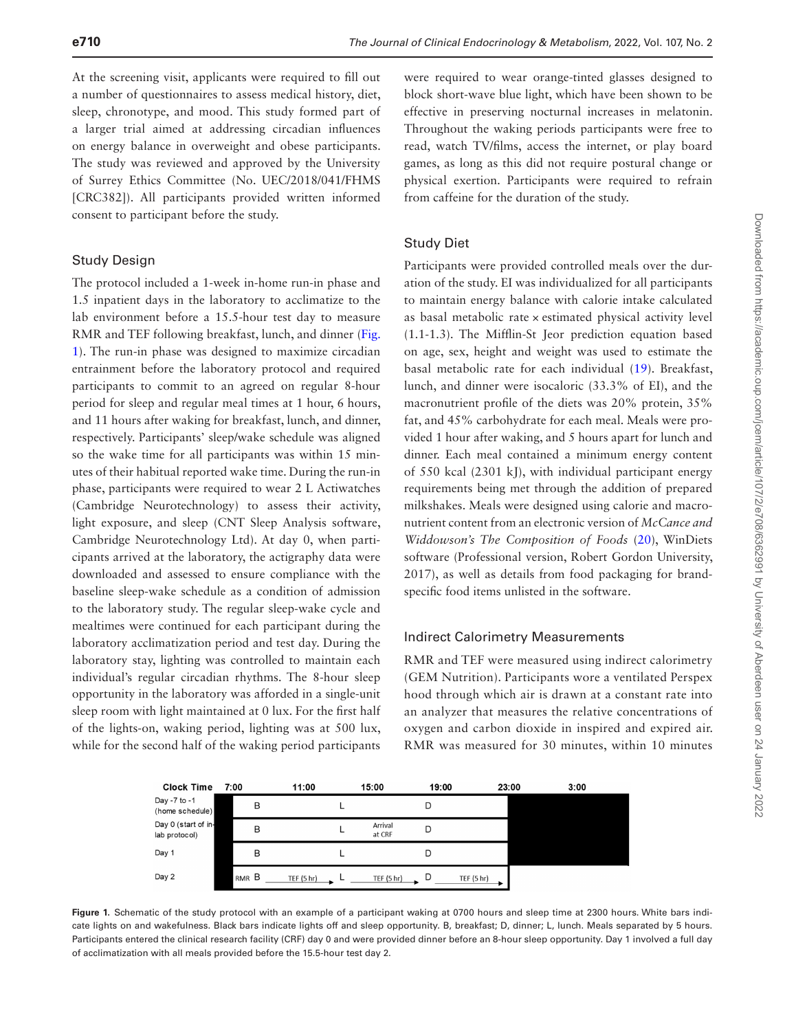At the screening visit, applicants were required to fill out a number of questionnaires to assess medical history, diet, sleep, chronotype, and mood. This study formed part of a larger trial aimed at addressing circadian influences on energy balance in overweight and obese participants. The study was reviewed and approved by the University of Surrey Ethics Committee (No. UEC/2018/041/FHMS [CRC382]). All participants provided written informed consent to participant before the study.

## Study Design

The protocol included a 1-week in-home run-in phase and 1.5 inpatient days in the laboratory to acclimatize to the lab environment before a 15.5-hour test day to measure RMR and TEF following breakfast, lunch, and dinner [\(Fig.](#page-2-0)  [1\)](#page-2-0). The run-in phase was designed to maximize circadian entrainment before the laboratory protocol and required participants to commit to an agreed on regular 8-hour period for sleep and regular meal times at 1 hour, 6 hours, and 11 hours after waking for breakfast, lunch, and dinner, respectively. Participants' sleep/wake schedule was aligned so the wake time for all participants was within 15 minutes of their habitual reported wake time. During the run-in phase, participants were required to wear 2 L Actiwatches (Cambridge Neurotechnology) to assess their activity, light exposure, and sleep (CNT Sleep Analysis software, Cambridge Neurotechnology Ltd). At day 0, when participants arrived at the laboratory, the actigraphy data were downloaded and assessed to ensure compliance with the baseline sleep-wake schedule as a condition of admission to the laboratory study. The regular sleep-wake cycle and mealtimes were continued for each participant during the laboratory acclimatization period and test day. During the laboratory stay, lighting was controlled to maintain each individual's regular circadian rhythms. The 8-hour sleep opportunity in the laboratory was afforded in a single-unit sleep room with light maintained at 0 lux. For the first half of the lights-on, waking period, lighting was at 500 lux, while for the second half of the waking period participants

were required to wear orange-tinted glasses designed to block short-wave blue light, which have been shown to be effective in preserving nocturnal increases in melatonin. Throughout the waking periods participants were free to read, watch TV/films, access the internet, or play board games, as long as this did not require postural change or physical exertion. Participants were required to refrain from caffeine for the duration of the study.

# Study Diet

Participants were provided controlled meals over the duration of the study. EI was individualized for all participants to maintain energy balance with calorie intake calculated as basal metabolic rate × estimated physical activity level (1.1-1.3). The Mifflin-St Jeor prediction equation based on age, sex, height and weight was used to estimate the basal metabolic rate for each individual ([19](#page-7-16)). Breakfast, lunch, and dinner were isocaloric (33.3% of EI), and the macronutrient profile of the diets was 20% protein, 35% fat, and 45% carbohydrate for each meal. Meals were provided 1 hour after waking, and 5 hours apart for lunch and dinner. Each meal contained a minimum energy content of 550 kcal (2301 kJ), with individual participant energy requirements being met through the addition of prepared milkshakes. Meals were designed using calorie and macronutrient content from an electronic version of *McCance and Widdowson's The Composition of Foods* ([20](#page-7-17)), WinDiets software (Professional version, Robert Gordon University, 2017), as well as details from food packaging for brandspecific food items unlisted in the software.

## Indirect Calorimetry Measurements

RMR and TEF were measured using indirect calorimetry (GEM Nutrition). Participants wore a ventilated Perspex hood through which air is drawn at a constant rate into an analyzer that measures the relative concentrations of oxygen and carbon dioxide in inspired and expired air. RMR was measured for 30 minutes, within 10 minutes

<span id="page-2-0"></span>

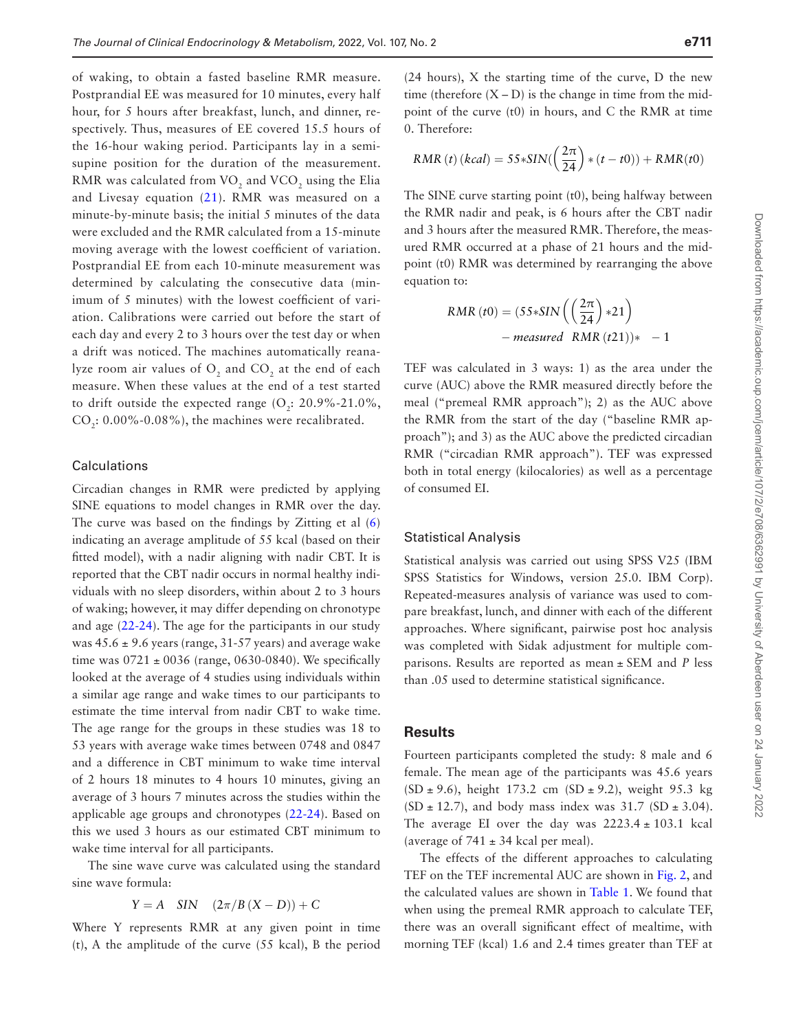of waking, to obtain a fasted baseline RMR measure. Postprandial EE was measured for 10 minutes, every half hour, for 5 hours after breakfast, lunch, and dinner, respectively. Thus, measures of EE covered 15.5 hours of the 16-hour waking period. Participants lay in a semisupine position for the duration of the measurement. RMR was calculated from VO<sub>2</sub> and VCO<sub>2</sub> using the Elia and Livesay equation ([21](#page-7-18)). RMR was measured on a minute-by-minute basis; the initial 5 minutes of the data were excluded and the RMR calculated from a 15-minute moving average with the lowest coefficient of variation. Postprandial EE from each 10-minute measurement was determined by calculating the consecutive data (minimum of 5 minutes) with the lowest coefficient of variation. Calibrations were carried out before the start of each day and every 2 to 3 hours over the test day or when a drift was noticed. The machines automatically reanalyze room air values of  $O_2$  and  $CO_2$  at the end of each measure. When these values at the end of a test started to drift outside the expected range  $(O_2: 20.9\% - 21.0\%$ ,  $CO<sub>2</sub>: 0.00\% - 0.08\%$ , the machines were recalibrated.

#### Calculations

Circadian changes in RMR were predicted by applying SINE equations to model changes in RMR over the day. The curve was based on the findings by Zitting et al [\(6\)](#page-7-5) indicating an average amplitude of 55 kcal (based on their fitted model), with a nadir aligning with nadir CBT. It is reported that the CBT nadir occurs in normal healthy individuals with no sleep disorders, within about 2 to 3 hours of waking; however, it may differ depending on chronotype and age [\(22](#page-7-19)[-24\)](#page-7-20). The age for the participants in our study was  $45.6 \pm 9.6$  years (range,  $31-57$  years) and average wake time was  $0721 \pm 0036$  (range, 0630-0840). We specifically looked at the average of 4 studies using individuals within a similar age range and wake times to our participants to estimate the time interval from nadir CBT to wake time. The age range for the groups in these studies was 18 to 53 years with average wake times between 0748 and 0847 and a difference in CBT minimum to wake time interval of 2 hours 18 minutes to 4 hours 10 minutes, giving an average of 3 hours 7 minutes across the studies within the applicable age groups and chronotypes ([22-](#page-7-19)[24](#page-7-20)). Based on this we used 3 hours as our estimated CBT minimum to wake time interval for all participants.

The sine wave curve was calculated using the standard sine wave formula:

$$
Y = A \quad \text{SIN} \quad (2\pi/B(X - D)) + C
$$

Where Y represents RMR at any given point in time (t), A the amplitude of the curve (55 kcal), B the period

(24 hours), X the starting time of the curve, D the new time (therefore  $(X - D)$ ) is the change in time from the midpoint of the curve (t0) in hours, and C the RMR at time 0. Therefore:

$$
RMR(t) (kcal) = 55 * SIN(\left(\frac{2\pi}{24}\right) * (t - t0)) + RMR(t0)
$$

The SINE curve starting point (t0), being halfway between the RMR nadir and peak, is 6 hours after the CBT nadir and 3 hours after the measured RMR. Therefore, the measured RMR occurred at a phase of 21 hours and the midpoint (t0) RMR was determined by rearranging the above equation to:

$$
RMR(t0) = (55 * SIN\left(\left(\frac{2\pi}{24}\right) *21\right)
$$
  
- measured RMR (t21))\* - 1

TEF was calculated in 3 ways: 1) as the area under the curve (AUC) above the RMR measured directly before the meal ("premeal RMR approach"); 2) as the AUC above the RMR from the start of the day ("baseline RMR approach"); and 3) as the AUC above the predicted circadian RMR ("circadian RMR approach"). TEF was expressed both in total energy (kilocalories) as well as a percentage of consumed EI.

#### Statistical Analysis

Statistical analysis was carried out using SPSS V25 (IBM SPSS Statistics for Windows, version 25.0. IBM Corp). Repeated-measures analysis of variance was used to compare breakfast, lunch, and dinner with each of the different approaches. Where significant, pairwise post hoc analysis was completed with Sidak adjustment for multiple comparisons. Results are reported as mean ± SEM and *P* less than .05 used to determine statistical significance.

#### **Results**

Fourteen participants completed the study: 8 male and 6 female. The mean age of the participants was 45.6 years  $(SD \pm 9.6)$ , height 173.2 cm  $(SD \pm 9.2)$ , weight 95.3 kg  $(SD \pm 12.7)$ , and body mass index was 31.7  $(SD \pm 3.04)$ . The average EI over the day was  $2223.4 \pm 103.1$  kcal (average of  $741 \pm 34$  kcal per meal).

The effects of the different approaches to calculating TEF on the TEF incremental AUC are shown in [Fig. 2,](#page-4-0) and the calculated values are shown in [Table 1.](#page-4-1) We found that when using the premeal RMR approach to calculate TEF, there was an overall significant effect of mealtime, with morning TEF (kcal) 1.6 and 2.4 times greater than TEF at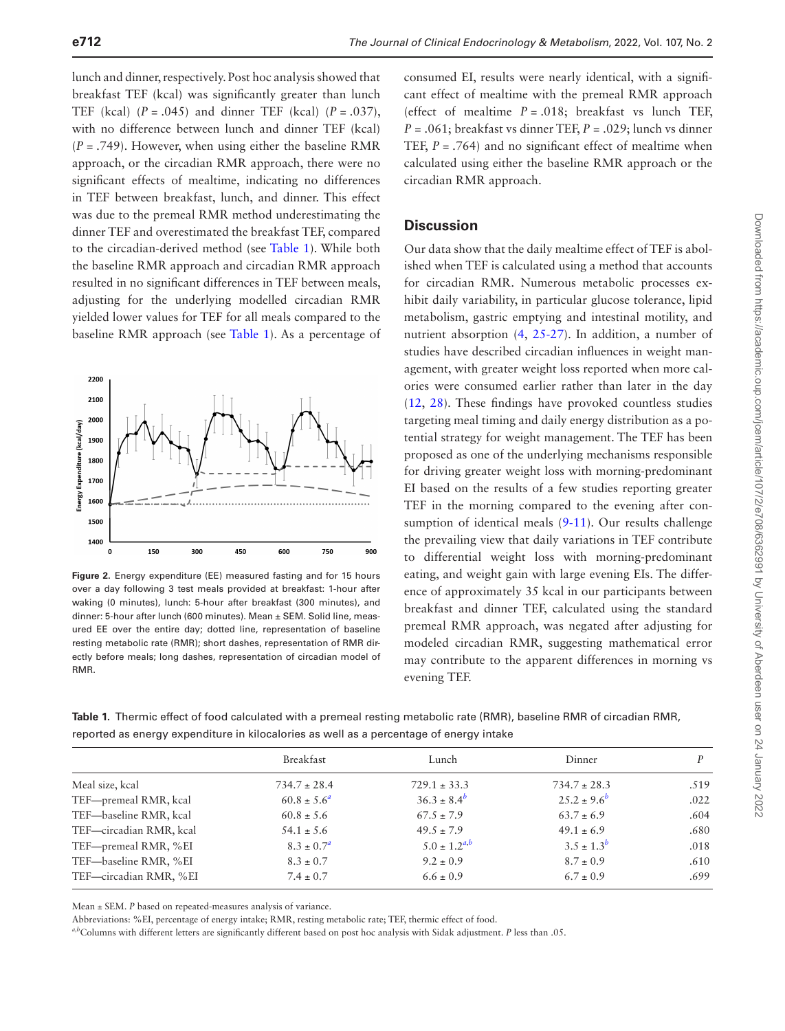lunch and dinner, respectively. Post hoc analysis showed that breakfast TEF (kcal) was significantly greater than lunch TEF (kcal)  $(P = .045)$  and dinner TEF (kcal)  $(P = .037)$ , with no difference between lunch and dinner TEF (kcal) (*P* = .749). However, when using either the baseline RMR approach, or the circadian RMR approach, there were no significant effects of mealtime, indicating no differences in TEF between breakfast, lunch, and dinner. This effect was due to the premeal RMR method underestimating the dinner TEF and overestimated the breakfast TEF, compared to the circadian-derived method (see [Table 1](#page-4-1)). While both the baseline RMR approach and circadian RMR approach resulted in no significant differences in TEF between meals, adjusting for the underlying modelled circadian RMR yielded lower values for TEF for all meals compared to the baseline RMR approach (see [Table 1\)](#page-4-1). As a percentage of



<span id="page-4-0"></span>**Figure 2.** Energy expenditure (EE) measured fasting and for 15 hours over a day following 3 test meals provided at breakfast: 1-hour after waking (0 minutes), lunch: 5-hour after breakfast (300 minutes), and dinner: 5-hour after lunch (600 minutes). Mean ± SEM. Solid line, measured EE over the entire day; dotted line, representation of baseline resting metabolic rate (RMR); short dashes, representation of RMR directly before meals; long dashes, representation of circadian model of RMR.

consumed EI, results were nearly identical, with a significant effect of mealtime with the premeal RMR approach (effect of mealtime  $P = .018$ ; breakfast vs lunch TEF, *P* = .061; breakfast vs dinner TEF, *P* = .029; lunch vs dinner TEF,  $P = .764$ ) and no significant effect of mealtime when calculated using either the baseline RMR approach or the circadian RMR approach.

## **Discussion**

Our data show that the daily mealtime effect of TEF is abolished when TEF is calculated using a method that accounts for circadian RMR. Numerous metabolic processes exhibit daily variability, in particular glucose tolerance, lipid metabolism, gastric emptying and intestinal motility, and nutrient absorption ([4,](#page-7-3) [25](#page-7-21)-[27\)](#page-7-22). In addition, a number of studies have described circadian influences in weight management, with greater weight loss reported when more calories were consumed earlier rather than later in the day ([12](#page-7-9), [28\)](#page-7-23). These findings have provoked countless studies targeting meal timing and daily energy distribution as a potential strategy for weight management. The TEF has been proposed as one of the underlying mechanisms responsible for driving greater weight loss with morning-predominant EI based on the results of a few studies reporting greater TEF in the morning compared to the evening after con-sumption of identical meals ([9-](#page-7-12)[11](#page-7-8)). Our results challenge the prevailing view that daily variations in TEF contribute to differential weight loss with morning-predominant eating, and weight gain with large evening EIs. The difference of approximately 35 kcal in our participants between breakfast and dinner TEF, calculated using the standard premeal RMR approach, was negated after adjusting for modeled circadian RMR, suggesting mathematical error may contribute to the apparent differences in morning vs evening TEF.

<span id="page-4-1"></span>**Table 1.** Thermic effect of food calculated with a premeal resting metabolic rate (RMR), baseline RMR of circadian RMR, reported as energy expenditure in kilocalories as well as a percentage of energy intake

|                         | Breakfast              | Lunch               | Dinner             | P    |
|-------------------------|------------------------|---------------------|--------------------|------|
| Meal size, kcal         | $734.7 \pm 28.4$       | $729.1 \pm 33.3$    | $734.7 \pm 28.3$   | .519 |
| TEF-premeal RMR, kcal   | $60.8 \pm 5.6^{\circ}$ | $36.3 \pm 8.4^b$    | $25.2 \pm 9.6^{b}$ | .022 |
| TEF-baseline RMR, kcal  | $60.8 \pm 5.6$         | $67.5 \pm 7.9$      | $63.7 \pm 6.9$     | .604 |
| TEF-circadian RMR, kcal | $54.1 \pm 5.6$         | $49.5 \pm 7.9$      | $49.1 \pm 6.9$     | .680 |
| TEF-premeal RMR, %EI    | $8.3 \pm 0.7^a$        | $5.0 \pm 1.2^{a,b}$ | $3.5 \pm 1.3^{b}$  | .018 |
| TEF-baseline RMR, %EI   | $8.3 \pm 0.7$          | $9.2 \pm 0.9$       | $8.7 \pm 0.9$      | .610 |
| TEF-circadian RMR, %EI  | $7.4 \pm 0.7$          | $6.6 \pm 0.9$       | $6.7 \pm 0.9$      | .699 |
|                         |                        |                     |                    |      |

Mean ± SEM. *P* based on repeated-measures analysis of variance.

Abbreviations: %EI, percentage of energy intake; RMR, resting metabolic rate; TEF, thermic effect of food.

<span id="page-4-3"></span><span id="page-4-2"></span>*a*,*b* Columns with different letters are significantly different based on post hoc analysis with Sidak adjustment. *P* less than .05.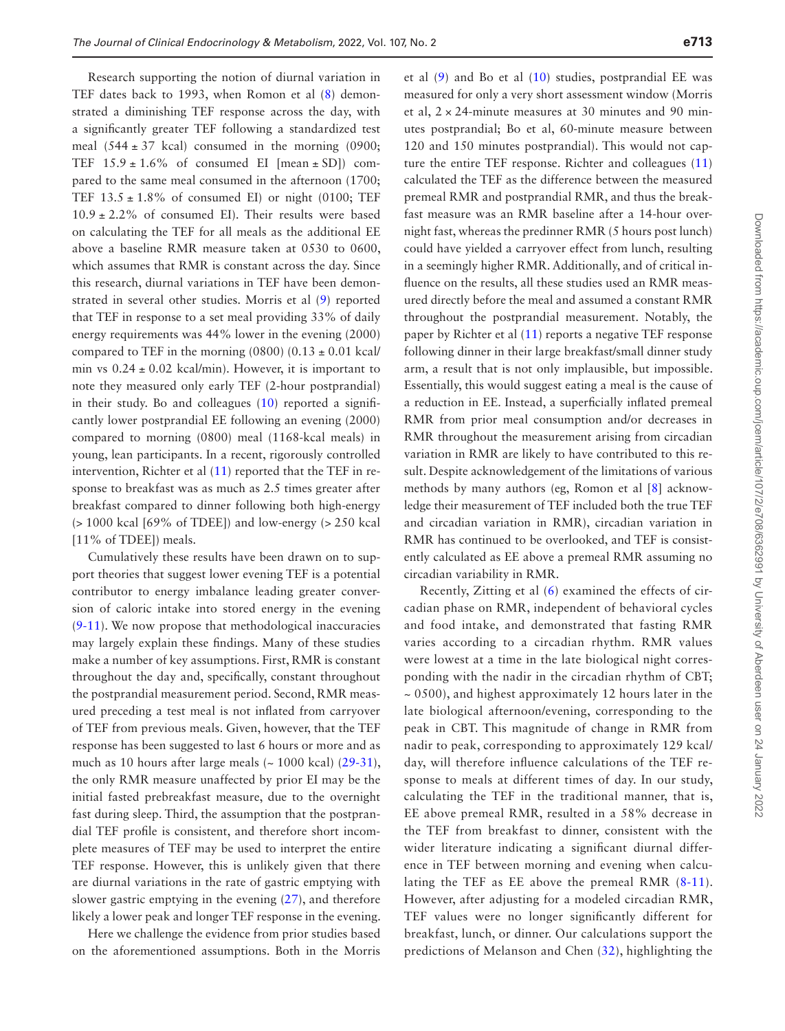Research supporting the notion of diurnal variation in TEF dates back to 1993, when Romon et al [\(8](#page-7-7)) demonstrated a diminishing TEF response across the day, with a significantly greater TEF following a standardized test meal  $(544 \pm 37 \text{ kcal})$  consumed in the morning  $(0900;$ TEF  $15.9 \pm 1.6\%$  of consumed EI [mean  $\pm$  SD]) compared to the same meal consumed in the afternoon (1700; TEF  $13.5 \pm 1.8\%$  of consumed EI) or night (0100; TEF  $10.9 \pm 2.2\%$  of consumed EI). Their results were based on calculating the TEF for all meals as the additional EE above a baseline RMR measure taken at 0530 to 0600, which assumes that RMR is constant across the day. Since this research, diurnal variations in TEF have been demonstrated in several other studies. Morris et al ([9\)](#page-7-12) reported that TEF in response to a set meal providing 33% of daily energy requirements was 44% lower in the evening (2000) compared to TEF in the morning (0800) (0.13  $\pm$  0.01 kcal/ min vs  $0.24 \pm 0.02$  kcal/min). However, it is important to note they measured only early TEF (2-hour postprandial) in their study. Bo and colleagues ([10](#page-7-24)) reported a significantly lower postprandial EE following an evening (2000) compared to morning (0800) meal (1168-kcal meals) in young, lean participants. In a recent, rigorously controlled intervention, Richter et al [\(11\)](#page-7-8) reported that the TEF in response to breakfast was as much as 2.5 times greater after breakfast compared to dinner following both high-energy (> 1000 kcal [69% of TDEE]) and low-energy (> 250 kcal [11% of TDEE]) meals.

Cumulatively these results have been drawn on to support theories that suggest lower evening TEF is a potential contributor to energy imbalance leading greater conversion of caloric intake into stored energy in the evening ([9-](#page-7-12)[11](#page-7-8)). We now propose that methodological inaccuracies may largely explain these findings. Many of these studies make a number of key assumptions. First, RMR is constant throughout the day and, specifically, constant throughout the postprandial measurement period. Second, RMR measured preceding a test meal is not inflated from carryover of TEF from previous meals. Given, however, that the TEF response has been suggested to last 6 hours or more and as much as 10 hours after large meals  $\left(\sim 1000 \text{ kcal}\right)$  ([29-](#page-7-25)[31](#page-7-26)), the only RMR measure unaffected by prior EI may be the initial fasted prebreakfast measure, due to the overnight fast during sleep. Third, the assumption that the postprandial TEF profile is consistent, and therefore short incomplete measures of TEF may be used to interpret the entire TEF response. However, this is unlikely given that there are diurnal variations in the rate of gastric emptying with slower gastric emptying in the evening  $(27)$  $(27)$  $(27)$ , and therefore likely a lower peak and longer TEF response in the evening.

Here we challenge the evidence from prior studies based on the aforementioned assumptions. Both in the Morris

et al [\(9](#page-7-12)) and Bo et al [\(10\)](#page-7-24) studies, postprandial EE was measured for only a very short assessment window (Morris et al,  $2 \times 24$ -minute measures at 30 minutes and 90 minutes postprandial; Bo et al, 60-minute measure between 120 and 150 minutes postprandial). This would not capture the entire TEF response. Richter and colleagues [\(11\)](#page-7-8) calculated the TEF as the difference between the measured premeal RMR and postprandial RMR, and thus the breakfast measure was an RMR baseline after a 14-hour overnight fast, whereas the predinner RMR (5 hours post lunch) could have yielded a carryover effect from lunch, resulting in a seemingly higher RMR. Additionally, and of critical influence on the results, all these studies used an RMR measured directly before the meal and assumed a constant RMR throughout the postprandial measurement. Notably, the paper by Richter et al [\(11](#page-7-8)) reports a negative TEF response following dinner in their large breakfast/small dinner study arm, a result that is not only implausible, but impossible. Essentially, this would suggest eating a meal is the cause of a reduction in EE. Instead, a superficially inflated premeal RMR from prior meal consumption and/or decreases in RMR throughout the measurement arising from circadian variation in RMR are likely to have contributed to this result. Despite acknowledgement of the limitations of various methods by many authors (eg, Romon et al [\[8](#page-7-7)] acknowledge their measurement of TEF included both the true TEF and circadian variation in RMR), circadian variation in RMR has continued to be overlooked, and TEF is consistently calculated as EE above a premeal RMR assuming no circadian variability in RMR.

Recently, Zitting et al ([6\)](#page-7-5) examined the effects of circadian phase on RMR, independent of behavioral cycles and food intake, and demonstrated that fasting RMR varies according to a circadian rhythm. RMR values were lowest at a time in the late biological night corresponding with the nadir in the circadian rhythm of CBT;  $\sim$  0500), and highest approximately 12 hours later in the late biological afternoon/evening, corresponding to the peak in CBT. This magnitude of change in RMR from nadir to peak, corresponding to approximately 129 kcal/ day, will therefore influence calculations of the TEF response to meals at different times of day. In our study, calculating the TEF in the traditional manner, that is, EE above premeal RMR, resulted in a 58% decrease in the TEF from breakfast to dinner, consistent with the wider literature indicating a significant diurnal difference in TEF between morning and evening when calculating the TEF as EE above the premeal RMR ([8](#page-7-7)-[11](#page-7-8)). However, after adjusting for a modeled circadian RMR, TEF values were no longer significantly different for breakfast, lunch, or dinner. Our calculations support the predictions of Melanson and Chen [\(32\)](#page-7-27), highlighting the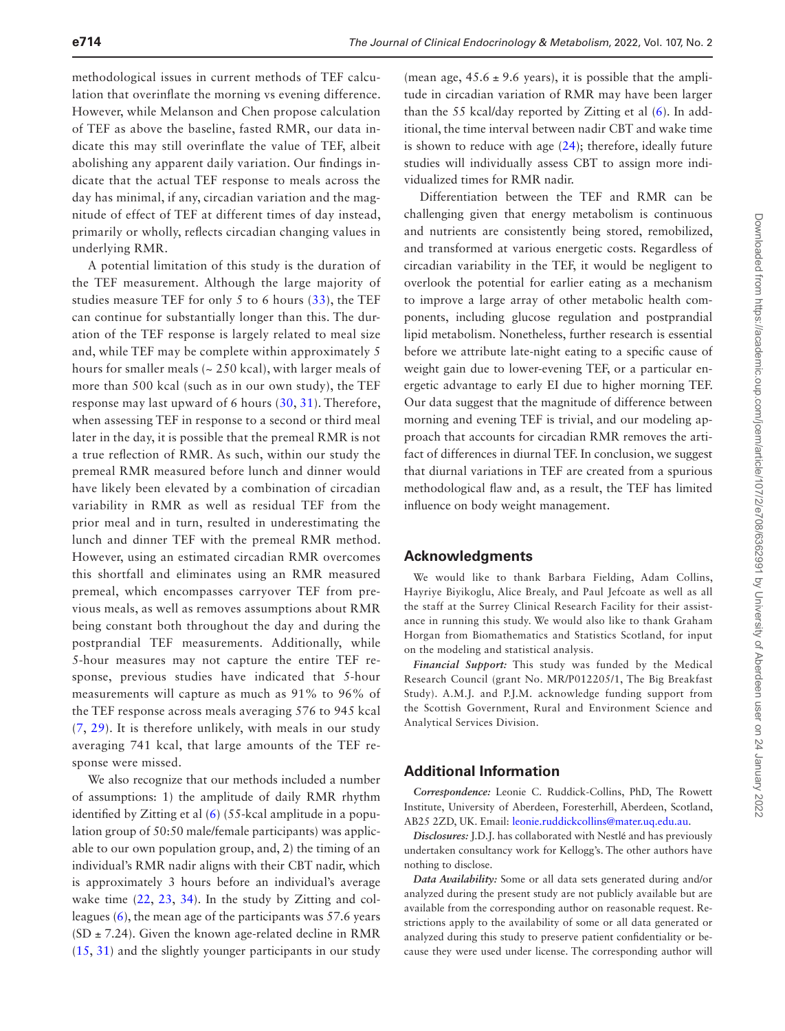methodological issues in current methods of TEF calculation that overinflate the morning vs evening difference. However, while Melanson and Chen propose calculation of TEF as above the baseline, fasted RMR, our data indicate this may still overinflate the value of TEF, albeit abolishing any apparent daily variation. Our findings indicate that the actual TEF response to meals across the day has minimal, if any, circadian variation and the magnitude of effect of TEF at different times of day instead, primarily or wholly, reflects circadian changing values in underlying RMR.

A potential limitation of this study is the duration of the TEF measurement. Although the large majority of studies measure TEF for only 5 to 6 hours ([33](#page-7-28)), the TEF can continue for substantially longer than this. The duration of the TEF response is largely related to meal size and, while TEF may be complete within approximately 5 hours for smaller meals  $($   $\sim$  250 kcal), with larger meals of more than 500 kcal (such as in our own study), the TEF response may last upward of 6 hours ([30,](#page-7-29) [31](#page-7-26)). Therefore, when assessing TEF in response to a second or third meal later in the day, it is possible that the premeal RMR is not a true reflection of RMR. As such, within our study the premeal RMR measured before lunch and dinner would have likely been elevated by a combination of circadian variability in RMR as well as residual TEF from the prior meal and in turn, resulted in underestimating the lunch and dinner TEF with the premeal RMR method. However, using an estimated circadian RMR overcomes this shortfall and eliminates using an RMR measured premeal, which encompasses carryover TEF from previous meals, as well as removes assumptions about RMR being constant both throughout the day and during the postprandial TEF measurements. Additionally, while 5-hour measures may not capture the entire TEF response, previous studies have indicated that 5-hour measurements will capture as much as 91% to 96% of the TEF response across meals averaging 576 to 945 kcal ([7](#page-7-6), [29\)](#page-7-25). It is therefore unlikely, with meals in our study averaging 741 kcal, that large amounts of the TEF response were missed.

We also recognize that our methods included a number of assumptions: 1) the amplitude of daily RMR rhythm identified by Zitting et al [\(6](#page-7-5)) (55-kcal amplitude in a population group of 50:50 male/female participants) was applicable to our own population group, and, 2) the timing of an individual's RMR nadir aligns with their CBT nadir, which is approximately 3 hours before an individual's average wake time ([22](#page-7-19), [23,](#page-7-30) [34\)](#page-7-31). In the study by Zitting and colleagues ([6\)](#page-7-5), the mean age of the participants was 57.6 years  $(SD \pm 7.24)$ . Given the known age-related decline in RMR ([15](#page-7-32), [31](#page-7-26)) and the slightly younger participants in our study

(mean age,  $45.6 \pm 9.6$  years), it is possible that the amplitude in circadian variation of RMR may have been larger than the 55 kcal/day reported by Zitting et al ([6\)](#page-7-5). In additional, the time interval between nadir CBT and wake time is shown to reduce with age ([24\)](#page-7-20); therefore, ideally future studies will individually assess CBT to assign more individualized times for RMR nadir.

Differentiation between the TEF and RMR can be challenging given that energy metabolism is continuous and nutrients are consistently being stored, remobilized, and transformed at various energetic costs. Regardless of circadian variability in the TEF, it would be negligent to overlook the potential for earlier eating as a mechanism to improve a large array of other metabolic health components, including glucose regulation and postprandial lipid metabolism. Nonetheless, further research is essential before we attribute late-night eating to a specific cause of weight gain due to lower-evening TEF, or a particular energetic advantage to early EI due to higher morning TEF. Our data suggest that the magnitude of difference between morning and evening TEF is trivial, and our modeling approach that accounts for circadian RMR removes the artifact of differences in diurnal TEF. In conclusion, we suggest that diurnal variations in TEF are created from a spurious methodological flaw and, as a result, the TEF has limited influence on body weight management.

## **Acknowledgments**

We would like to thank Barbara Fielding, Adam Collins, Hayriye Biyikoglu, Alice Brealy, and Paul Jefcoate as well as all the staff at the Surrey Clinical Research Facility for their assistance in running this study. We would also like to thank Graham Horgan from Biomathematics and Statistics Scotland, for input on the modeling and statistical analysis.

*Financial Support:* This study was funded by the Medical Research Council (grant No. MR/P012205/1, The Big Breakfast Study). A.M.J. and P.J.M. acknowledge funding support from the Scottish Government, Rural and Environment Science and Analytical Services Division.

## **Additional Information**

*Correspondence:* Leonie C. Ruddick-Collins, PhD, The Rowett Institute, University of Aberdeen, Foresterhill, Aberdeen, Scotland, AB25 2ZD, UK. Email: [leonie.ruddickcollins@mater.uq.edu.au](mailto:leonie.ruddickcollins@mater.uq.edu.au?subject=).

*Disclosures:* J.D.J. has collaborated with Nestlé and has previously undertaken consultancy work for Kellogg's. The other authors have nothing to disclose.

*Data Availability:* Some or all data sets generated during and/or analyzed during the present study are not publicly available but are available from the corresponding author on reasonable request. Restrictions apply to the availability of some or all data generated or analyzed during this study to preserve patient confidentiality or because they were used under license. The corresponding author will